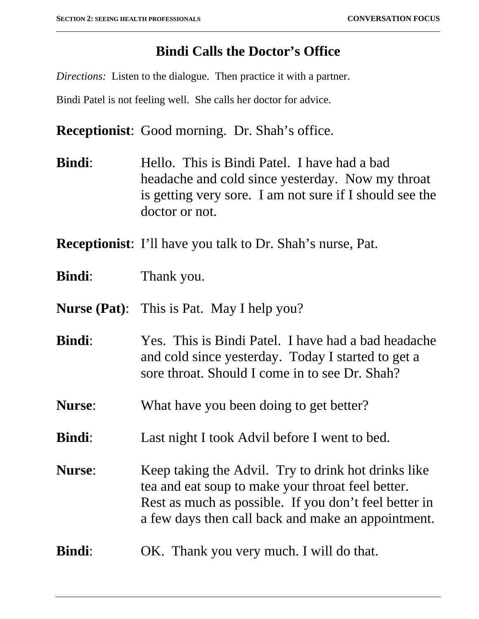## **Bindi Calls the Doctor's Office**

*Directions:* Listen to the dialogue. Then practice it with a partner.

Bindi Patel is not feeling well. She calls her doctor for advice.

**Receptionist**: Good morning. Dr. Shah's office.

**Bindi:** Hello. This is Bindi Patel. I have had a bad headache and cold since yesterday. Now my throat is getting very sore. I am not sure if I should see the doctor or not.

**Receptionist**: I'll have you talk to Dr. Shah's nurse, Pat.

**Bindi**: Thank you.

**Nurse (Pat)**: This is Pat. May I help you?

**Bindi**: Yes. This is Bindi Patel. I have had a bad headache and cold since yesterday. Today I started to get a sore throat. Should I come in to see Dr. Shah?

- **Nurse**: What have you been doing to get better?
- **Bindi:** Last night I took Advil before I went to bed.

**Nurse:** Keep taking the Advil. Try to drink hot drinks like tea and eat soup to make your throat feel better. Rest as much as possible. If you don't feel better in a few days then call back and make an appointment.

**Bindi:** OK. Thank you very much. I will do that.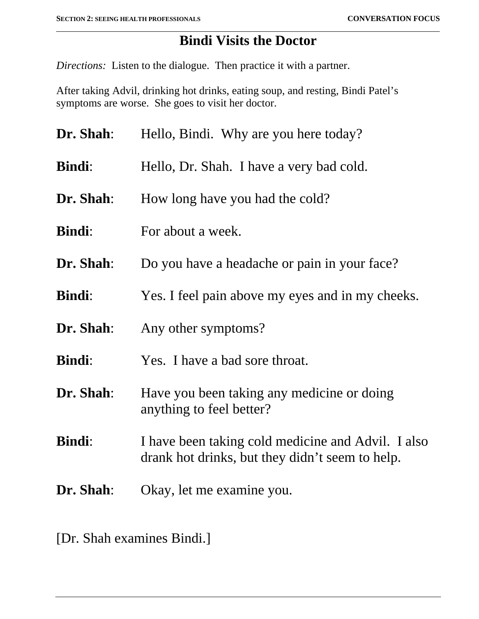## **Bindi Visits the Doctor**

*Directions:* Listen to the dialogue. Then practice it with a partner.

After taking Advil, drinking hot drinks, eating soup, and resting, Bindi Patel's symptoms are worse. She goes to visit her doctor.

| Dr. Shah:     | Hello, Bindi. Why are you here today?                                                                 |
|---------------|-------------------------------------------------------------------------------------------------------|
| <b>Bindi:</b> | Hello, Dr. Shah. I have a very bad cold.                                                              |
| Dr. Shah:     | How long have you had the cold?                                                                       |
| <b>Bindi:</b> | For about a week.                                                                                     |
| Dr. Shah:     | Do you have a headache or pain in your face?                                                          |
| <b>Bindi:</b> | Yes. I feel pain above my eyes and in my cheeks.                                                      |
| Dr. Shah:     | Any other symptoms?                                                                                   |
| <b>Bindi:</b> | Yes. I have a bad sore throat.                                                                        |
| Dr. Shah:     | Have you been taking any medicine or doing<br>anything to feel better?                                |
| <b>Bindi:</b> | I have been taking cold medicine and Advil. I also<br>drank hot drinks, but they didn't seem to help. |
| Dr. Shah:     | Okay, let me examine you.                                                                             |

[Dr. Shah examines Bindi.]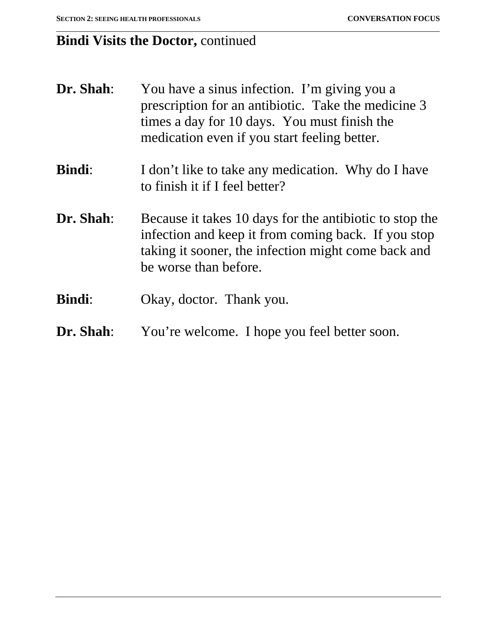## **Bindi Visits the Doctor,** continued

| Dr. Shah:     | You have a sinus infection. I'm giving you a<br>prescription for an antibiotic. Take the medicine 3<br>times a day for 10 days. You must finish the<br>medication even if you start feeling better. |
|---------------|-----------------------------------------------------------------------------------------------------------------------------------------------------------------------------------------------------|
| <b>Bindi:</b> | I don't like to take any medication. Why do I have<br>to finish it if I feel better?                                                                                                                |
| Dr. Shah:     | Because it takes 10 days for the antibiotic to stop the<br>infection and keep it from coming back. If you stop<br>taking it sooner, the infection might come back and<br>be worse than before.      |
| <b>Bindi:</b> | Okay, doctor. Thank you.                                                                                                                                                                            |
| Dr. Shah:     | You're welcome. I hope you feel better soon.                                                                                                                                                        |